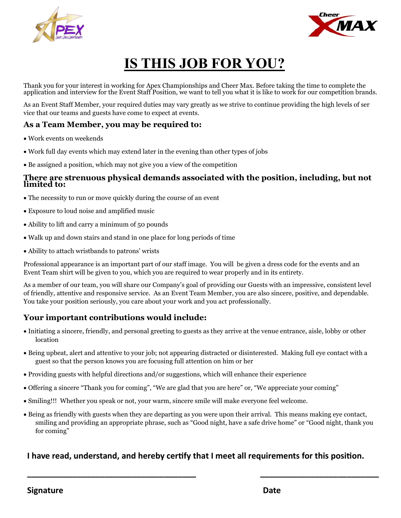



# **IS THIS JOB FOR YOU?**

Thank you for your interest in working for Apex Championships and Cheer Max. Before taking the time to complete the application and interview for the Event Staff Position, we want to tell you what it is like to work for our competition brands.

As an Event Staff Member, your required duties may vary greatly as we strive to continue providing the high levels of ser vice that our teams and guests have come to expect at events.

### **As a Team Member, you may be required to:**

- · Work events on weekends
- · Work full day events which may extend later in the evening than other types of jobs
- · Be assigned a position, which may not give you a view of the competition

#### **There are strenuous physical demands associated with the position, including, but not limited to:**

- · The necessity to run or move quickly during the course of an event
- · Exposure to loud noise and amplified music
- · Ability to lift and carry a minimum of 50 pounds
- · Walk up and down stairs and stand in one place for long periods of time
- · Ability to attach wristbands to patrons' wrists

Professional appearance is an important part of our staff image. You will be given a dress code for the events and an Event Team shirt will be given to you, which you are required to wear properly and in its entirety.

As a member of our team, you will share our Company's goal of providing our Guests with an impressive, consistent level of friendly, attentive and responsive service. As an Event Team Member, you are also sincere, positive, and dependable. You take your position seriously, you care about your work and you act professionally.

## **Your important contributions would include:**

- · Initiating a sincere, friendly, and personal greeting to guests as they arrive at the venue entrance, aisle, lobby or other location
- · Being upbeat, alert and attentive to your job; not appearing distracted or disinterested. Making full eye contact with a guest so that the person knows you are focusing full attention on him or her
- · Providing guests with helpful directions and/or suggestions, which will enhance their experience
- · Offering a sincere "Thank you for coming", "We are glad that you are here" or, "We appreciate your coming"
- · Smiling!!! Whether you speak or not, your warm, sincere smile will make everyone feel welcome.
- · Being as friendly with guests when they are departing as you were upon their arrival. This means making eye contact, smiling and providing an appropriate phrase, such as "Good night, have a safe drive home" or "Good night, thank you for coming"

## **I have read, understand, and hereby cer�fy that I meet all requirements for this posi�on.**

**\_\_\_\_\_\_\_\_\_\_\_\_\_\_\_\_\_\_\_\_\_\_\_\_\_\_\_\_\_\_\_\_\_\_\_\_\_ \_\_\_\_\_\_\_\_\_\_\_\_\_\_\_\_\_\_\_\_\_\_\_\_\_\_**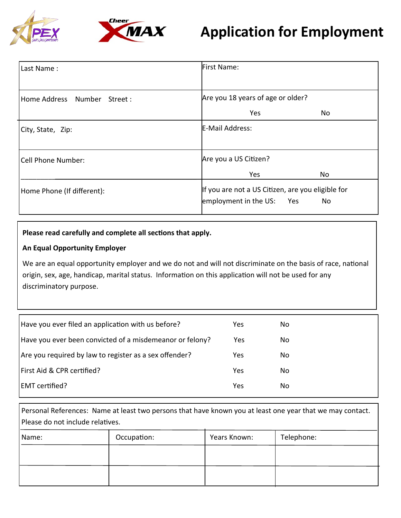



| Last Name:                      | First Name:                                                                             |  |  |
|---------------------------------|-----------------------------------------------------------------------------------------|--|--|
|                                 |                                                                                         |  |  |
| Home Address Number<br>Street : | Are you 18 years of age or older?                                                       |  |  |
|                                 | Yes<br>No                                                                               |  |  |
| City, State, Zip:               | E-Mail Address:                                                                         |  |  |
| Cell Phone Number:              | Are you a US Citizen?                                                                   |  |  |
|                                 | Yes<br>No                                                                               |  |  |
| Home Phone (If different):      | If you are not a US Citizen, are you eligible for<br>employment in the US:<br>Yes<br>No |  |  |

#### **Please read carefully and complete all sec�ons that apply.**

#### **An Equal Opportunity Employer**

We are an equal opportunity employer and we do not and will not discriminate on the basis of race, national origin, sex, age, handicap, marital status. Information on this application will not be used for any discriminatory purpose.

| Have you ever filed an application with us before?       | Yes | No. |
|----------------------------------------------------------|-----|-----|
| Have you ever been convicted of a misdemeanor or felony? | Yes | No. |
| Are you required by law to register as a sex offender?   | Yes | No. |
| First Aid & CPR certified?                               | Yes | No. |
| <b>EMT</b> certified?                                    | Yes | No. |
|                                                          |     |     |

Personal References: Name at least two persons that have known you at least one year that we may contact. Please do not include relatives.

| Name: | Occupation: | Years Known: | Telephone: |
|-------|-------------|--------------|------------|
|       |             |              |            |
|       |             |              |            |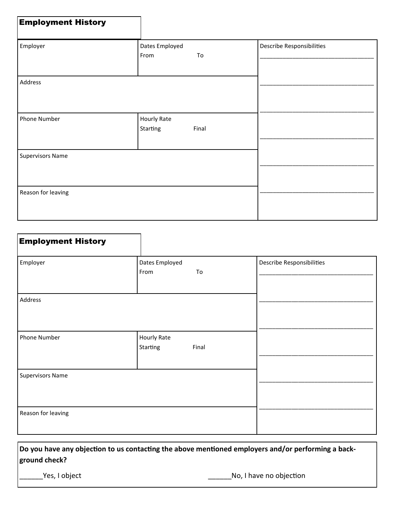| <b>Employment History</b> |                                |       |                           |
|---------------------------|--------------------------------|-------|---------------------------|
| Employer                  | Dates Employed<br>From         | To    | Describe Responsibilities |
| Address                   |                                |       |                           |
| Phone Number              | <b>Hourly Rate</b><br>Starting | Final |                           |
| <b>Supervisors Name</b>   |                                |       |                           |
| Reason for leaving        |                                |       |                           |

| <b>Employment History</b> |                                  |                           |
|---------------------------|----------------------------------|---------------------------|
| Employer                  | Dates Employed<br>From<br>To     | Describe Responsibilities |
| Address                   |                                  |                           |
| Phone Number              | Hourly Rate<br>Starting<br>Final |                           |
| <b>Supervisors Name</b>   |                                  |                           |
| Reason for leaving        |                                  |                           |

**Do you have any objection to us contacting the above mentioned employers and/or performing a background check?**

\_\_\_\_\_\_Yes, I object \_\_\_\_\_\_No, I have no objec�on